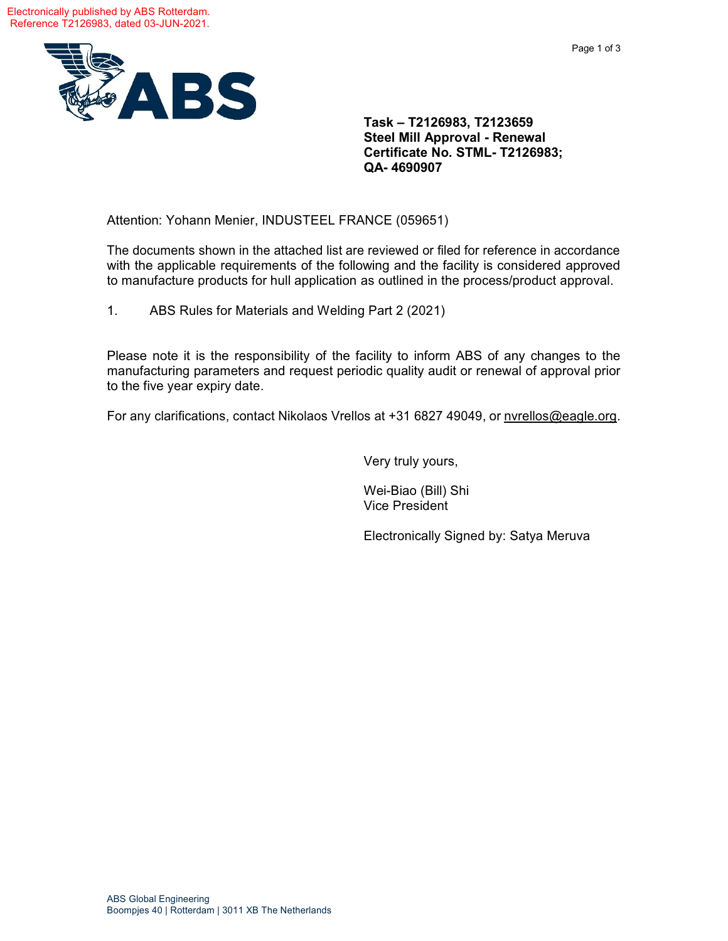

**Task – T2126983, T2123659 Steel Mill Approval - Renewal Certificate No. STML- T2126983; QA- 4690907**

Attention: Yohann Menier, INDUSTEEL FRANCE (059651)

The documents shown in the attached list are reviewed or filed for reference in accordance with the applicable requirements of the following and the facility is considered approved to manufacture products for hull application as outlined in the process/product approval.

1. ABS Rules for Materials and Welding Part 2 (2021)

Please note it is the responsibility of the facility to inform ABS of any changes to the manufacturing parameters and request periodic quality audit or renewal of approval prior to the five year expiry date.

For any clarifications, contact Nikolaos Vrellos at +31 6827 49049, or [nvrellos@eagle.org.](mailto:nvrellos@eagle.org)

Very truly yours,

Wei-Biao (Bill) Shi Vice President

Electronically Signed by: Satya Meruva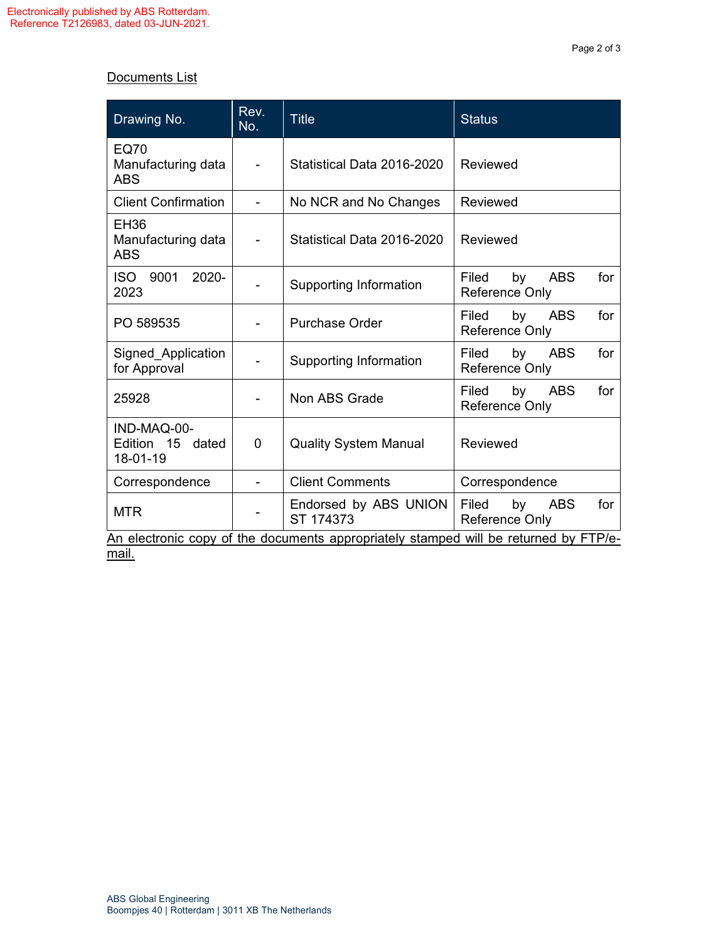## Documents List

| Drawing No.                                                                          | Rev.<br>No. | <b>Title</b>                       | <b>Status</b>                                             |  |  |  |  |
|--------------------------------------------------------------------------------------|-------------|------------------------------------|-----------------------------------------------------------|--|--|--|--|
| <b>EQ70</b><br>Manufacturing data<br><b>ABS</b>                                      |             | Statistical Data 2016-2020         | Reviewed                                                  |  |  |  |  |
| <b>Client Confirmation</b>                                                           |             | No NCR and No Changes              | Reviewed                                                  |  |  |  |  |
| <b>EH36</b><br>Manufacturing data<br><b>ABS</b>                                      | Ξ.          | Statistical Data 2016-2020         | Reviewed                                                  |  |  |  |  |
| 9001<br>2020-<br>ISO -<br>2023                                                       |             | Supporting Information             | <b>ABS</b><br>Filed<br>by<br>for<br><b>Reference Only</b> |  |  |  |  |
| PO 589535                                                                            |             | <b>Purchase Order</b>              | Filed<br>by<br><b>ABS</b><br>for<br>Reference Only        |  |  |  |  |
| Signed_Application<br>for Approval                                                   |             | Supporting Information             | for<br>Filed<br>by<br><b>ABS</b><br>Reference Only        |  |  |  |  |
| 25928                                                                                |             | Non ABS Grade                      | Filed<br>by<br><b>ABS</b><br>for<br>Reference Only        |  |  |  |  |
| IND-MAQ-00-<br>Edition 15<br>dated<br>18-01-19                                       | 0           | <b>Quality System Manual</b>       | Reviewed                                                  |  |  |  |  |
| Correspondence                                                                       |             | <b>Client Comments</b>             | Correspondence                                            |  |  |  |  |
| <b>MTR</b>                                                                           |             | Endorsed by ABS UNION<br>ST 174373 | Filed<br>by<br><b>ABS</b><br>for<br><b>Reference Only</b> |  |  |  |  |
| An electronic copy of the documents appropriately stamped will be returned by FTP/e- |             |                                    |                                                           |  |  |  |  |

mail.